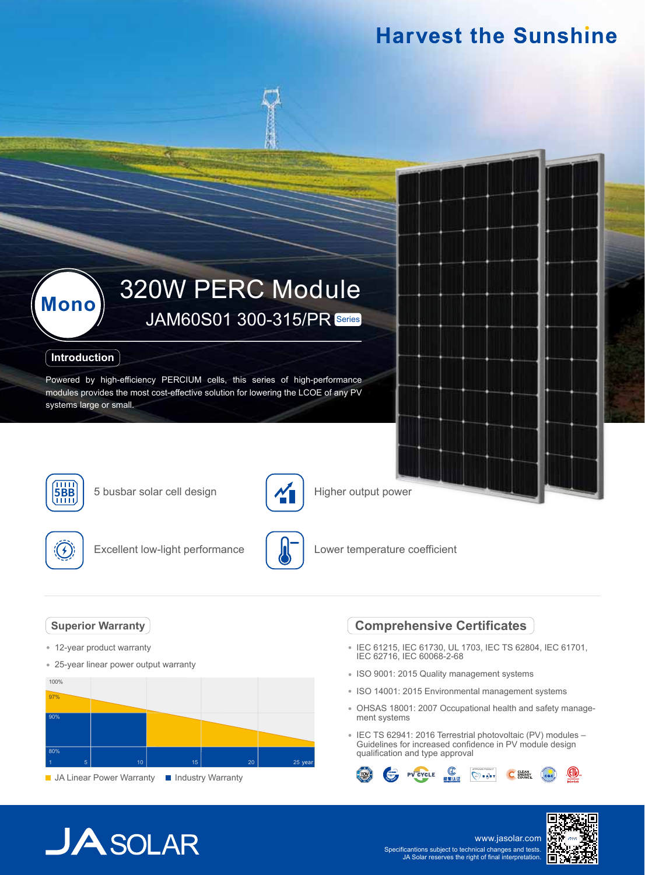### **Harvest the Sunshine**

## 320W PERC Module **Mono** JAM60S01 300-315/PR Series

### **Introduction**

Powered by high-efficiency PERCIUM cells, this series of high-performance modules provides the most cost-effective solution for lowering the LCOE of any PV systems large or small.



**5BB** 5 busbar solar cell design



Higher output power



Excellent low-light performance



Lower temperature coefficient

### **Superior Warranty**

- 12-year product warranty
- 25-year linear power output warranty



**JA Linear Power Warranty III Industry Warranty** 

### **Comprehensive Certificates**

- IEC 61215, IEC 61730, UL 1703, IEC TS 62804, IEC 61701, IEC 62716, IEC 60068-2-68
- ISO 9001: 2015 Quality management systems
- ISO 14001: 2015 Environmental management systems
- OHSAS 18001: 2007 Occupational health and safety management systems
- IEC TS 62941: 2016 Terrestrial photovoltaic (PV) modules Guidelines for increased confidence in PV module design qualification and type approval



# $JASOLAR$

www.jasolar.com Specificantions subject to technical changes and tests. JA Solar reserves the right of final interpretation.